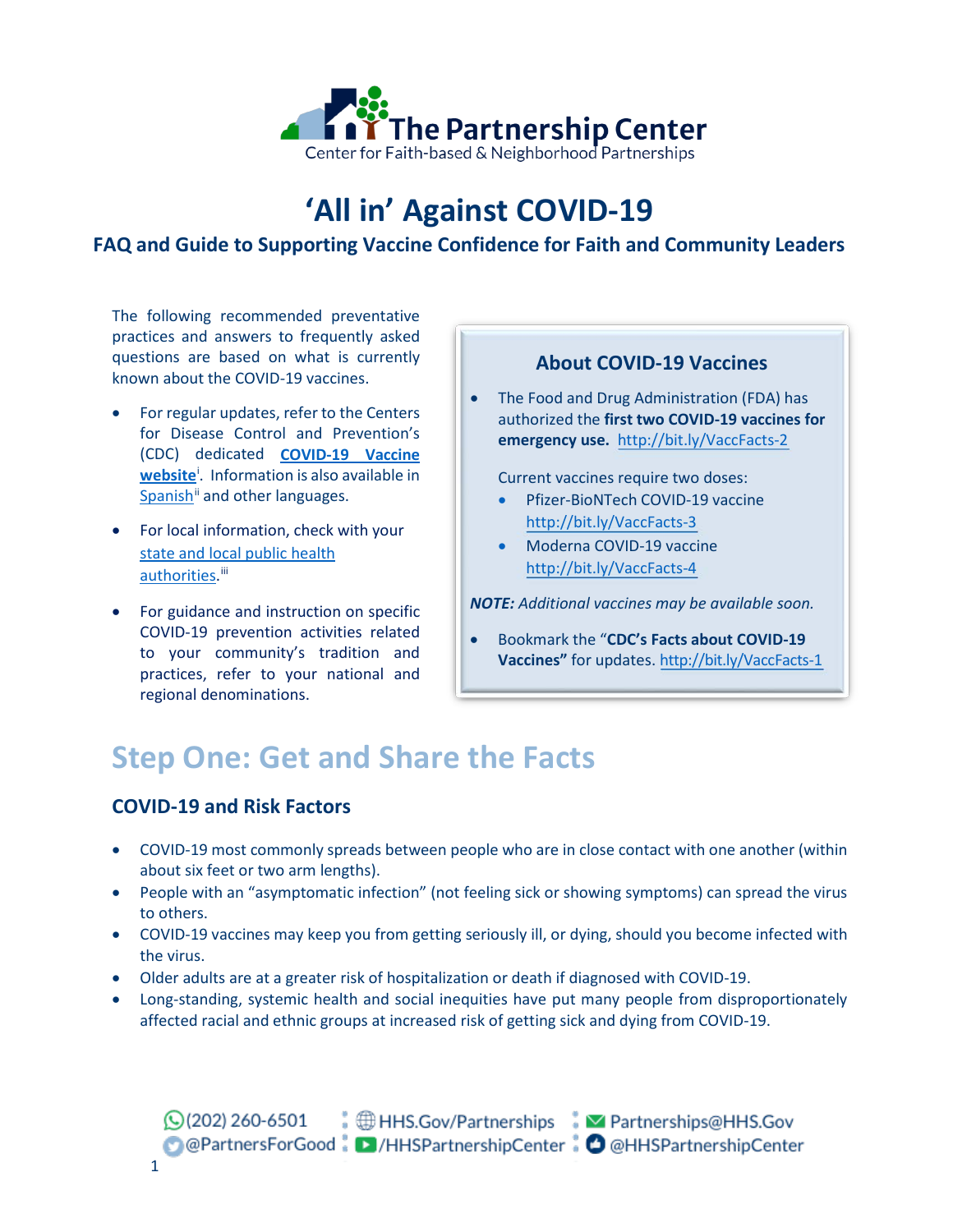

# **'All in' Against COVID-19**

## **FAQ and Guide to Supporting Vaccine Confidence for Faith and Community Leaders**

The following recommended preventative practices and answers to frequently asked questions are based on what is currently known about the COVID-19 vaccines.

- For regular updates, refer to the Centers for Disease Control and Prevention's (CDC) dedicated **[COVID-19 Vaccine](https://www.cdc.gov/coronavirus/2019-ncov/vaccines/index.html)  [website](https://www.cdc.gov/coronavirus/2019-ncov/vaccines/index.html)**[i](#page-5-0) . Information is also available in Span[i](#page-5-1)sh<sup>ii</sup> and other languages.
- For local information, check with your [state and local public health](https://www.cdc.gov/publichealthgateway/healthdirectories/index.html)  [authorities.](https://www.cdc.gov/publichealthgateway/healthdirectories/index.html)<sup>[iii](#page-5-2)</sup>
- For guidance and instruction on specific COVID-19 prevention activities related to your community's tradition and practices, refer to your national and regional denominations.

### **About COVID-19 Vaccines**

• The Food and Drug Administration (FDA) has authorized the **first two COVID-19 vaccines for emergency use.** <http://bit.ly/VaccFacts-2>

Current vaccines require two doses:

- Pfizer-BioNTech COVID-19 vaccine <http://bit.ly/VaccFacts-3>
- Moderna COVID-19 vaccine <http://bit.ly/VaccFacts-4>

*NOTE: Additional vaccines may be available soon.* 

• Bookmark the "**CDC's Facts about COVID-19 Vaccines"** for updates.<http://bit.ly/VaccFacts-1>

# **Step One: Get and Share the Facts**

## **COVID-19 and Risk Factors**

- COVID-19 most commonly spreads between people who are in close contact with one another (within about six feet or two arm lengths).
- People with an "asymptomatic infection" (not feeling sick or showing symptoms) can spread the virus to others.
- COVID-19 vaccines may keep you from getting seriously ill, or dying, should you become infected with the virus.
- Older adults are at a greater risk of hospitalization or death if diagnosed with COVID-19.
- Long-standing, systemic health and social inequities have put many people from disproportionately affected racial and ethnic groups at increased risk of getting sick and dying from COVID-19.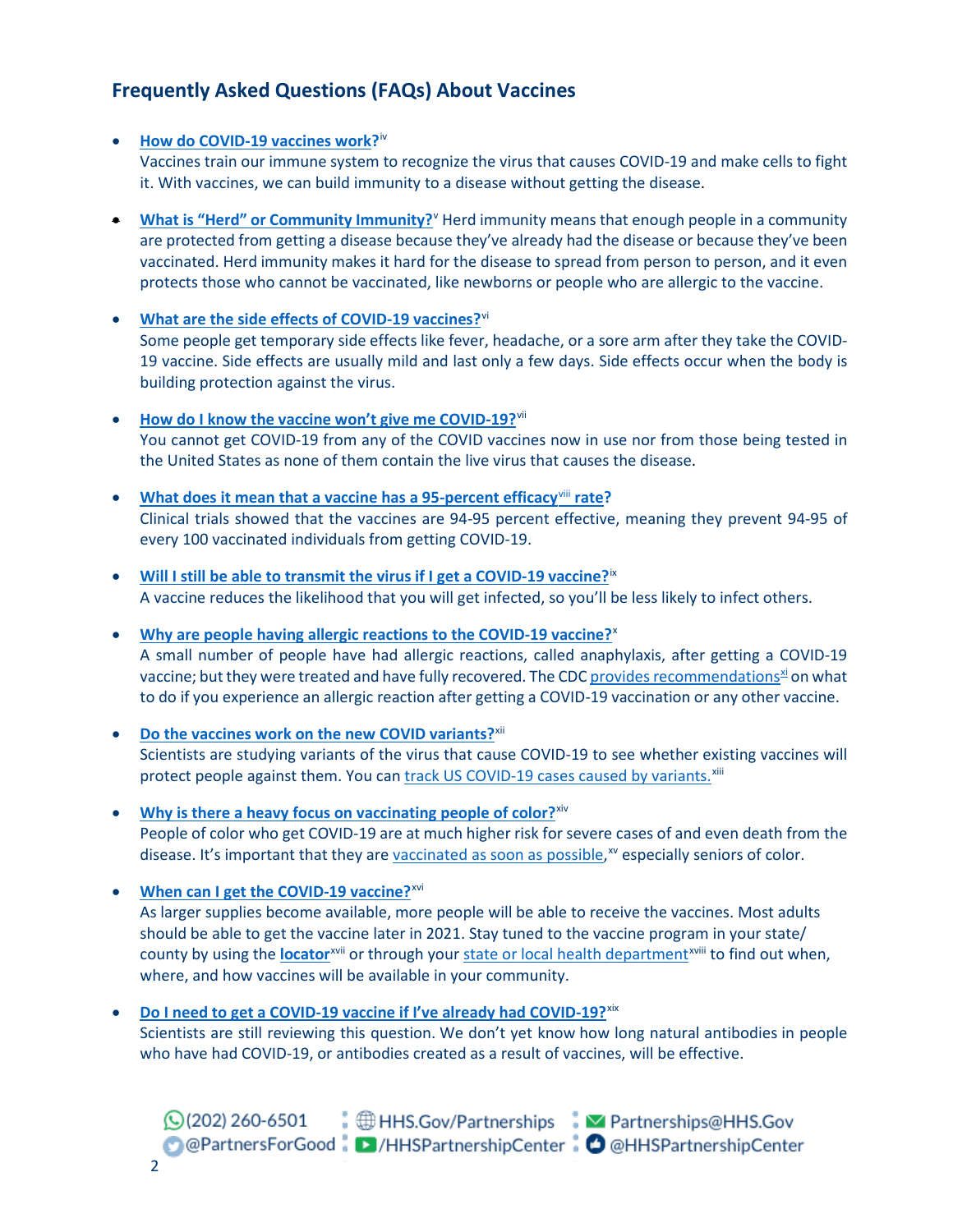# **Frequently Asked Questions (FAQs) About Vaccines**

#### • **How do [COVID-19](https://www.cdc.gov/coronavirus/2019-ncov/vaccines/different-vaccines/how-they-work.html) vaccines work?**[iv](#page-5-3)

Vaccines train our immune system to recognize the virus that causes COVID-19 and make cells to fight it. With vaccines, we can build immunity to a disease without getting the disease.

- **[What is "Herd" or Community Immunity?](https://www.cdc.gov/coronavirus/2019-ncov/vaccines/keythingstoknow.html)** Herd immunity means that enough people in a community are protected from getting a disease because they've already had the disease or because they've been vaccinated. Herd immunity makes it hard for the disease to spread from person to person, and it even protects those who cannot be vaccinated, like newborns or people who are allergic to the vaccine.
- **[What are the side effects of COVID-19 vaccines?](https://www.cdc.gov/vaccines/vac-gen/side-effects.html)**[vi](#page-5-5) Some people get temporary side effects like fever, headache, or a sore arm after they take the COVID-19 vaccine. Side effects are usually mild and last only a few days. Side effects occur when the body is building protection against the virus.
- **[How do I know the vaccine won't](https://www.cdc.gov/coronavirus/2019-ncov/vaccines/facts.html) give me COVID-19?**[vii](#page-5-6) You cannot get COVID-19 from any of the COVID vaccines now in use nor from those being tested in the United States as none of them contain the live virus that causes the disease.
- **[What does it mean that a vaccine has a 95-percent](https://www.cdc.gov/coronavirus/2019-ncov/vaccines/effectiveness.html) efficacy**[viii](#page-5-7) **rate?** Clinical trials showed that the vaccines are 94-95 percent effective, meaning they prevent 94-95 of every 100 vaccinated individuals from getting COVID-19.
- **[Will I still be able to transmit the virus if I get a COVID-19 vaccine?](https://www.cdc.gov/coronavirus/2019-ncov/vaccines/vaccine-benefits.html)**[ix](#page-5-8) A vaccine reduces the likelihood that you will get infected, so you'll be less likely to infect others.
- **[Why are people having allergic reactions to the COVID-19 vaccine?](https://www.cdc.gov/coronavirus/2019-ncov/vaccines/safety/allergic-reaction.html)**[x](#page-5-9) A small number of people have had allergic reactions, called anaphylaxis, after getting a COVID-19 vaccine; but they were treated and have fully recovered. The CDC provides recommendations<sup>xi</sup> on what to do if you experience an allergic reaction after getting a COVID-19 vaccination or any other vaccine.
- **[Do the vaccines work on the new COVID variants?](https://www.cdc.gov/coronavirus/2019-ncov/transmission/variant.html)**<sup>[xii](#page-5-11)</sup> Scientists are studying variants of the virus that cause COVID-19 to see whether existing vaccines will protect people against them. You can [track US COVID-19 cases caused by variants.](https://www.cdc.gov/coronavirus/2019-ncov/transmission/variant.html)<sup>[xiii](#page-5-12)</sup>
- **[Why is there a heavy focus on](https://www.cdc.gov/coronavirus/2019-ncov/community/health-equity/racial-ethnic-disparities/infographic-cases-hospitalization-death.html) vaccinating people of color?**[xiv](#page-5-13) People of color who get COVID-19 are at much higher risk for severe cases of and even death from the disease. It's important that they ar[e vaccinated as soon as](https://www.cdc.gov/coronavirus/2019-ncov/vaccines/recommendations-process.html) possible,<sup>[xv](#page-5-14)</sup> especially seniors of color.
- **[When can I get the COVID-19 vaccine?](https://www.cdc.gov/coronavirus/2019-ncov/vaccines/faq.html)**[xvi](#page-5-15) As larger supplies become available, more people will be able to receive the vaccines. Most adults should be able to get the vaccine later in 2021. Stay tuned to the vaccine progra[m](#page-5-17) in your state/ county by using the **[locator](https://www.cdc.gov/coronavirus/2019-ncov/vaccines/index.html)**<sup>[xvii](#page-5-16)</sup> or through your state or local health department<sup>xviii</sup> to find out when, where, and how vaccines will be available in your community.
- **Do I need to get a [COVID-19 vaccine if I've already had COVID-19?](https://www.cdc.gov/coronavirus/2019-ncov/vaccines/vaccine-benefits.html)**[xix](#page-5-18) Scientists are still reviewing this question. We don't yet know how long natural antibodies in people who have had COVID-19, or antibodies created as a result of vaccines, will be effective.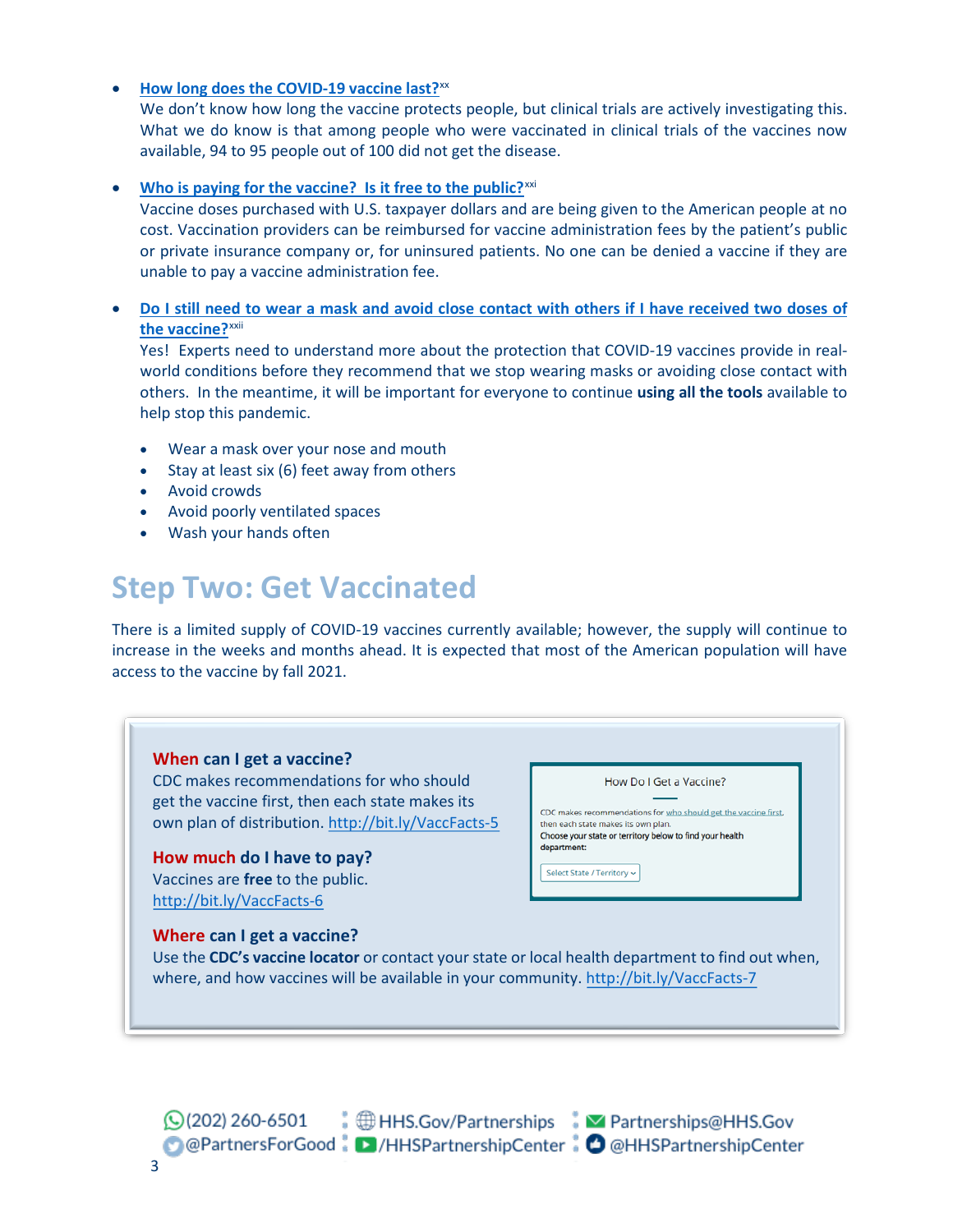#### • **[How long does the COVID-19 vaccine last?](https://www.cdc.gov/coronavirus/2019-ncov/vaccines/faq.html)**[xx](#page-5-19)

We don't know how long the vaccine protects people, but clinical trials are actively investigating this. What we do know is that among people who were vaccinated in clinical trials of the vaccines now available, 94 to 95 people out of 100 did not get the disease.

#### **[Who is paying for the vaccine? Is it free to the public?](https://www.cdc.gov/coronavirus/2019-ncov/vaccines/faq.html)**<sup>[xxi](#page-5-20)</sup>

Vaccine doses purchased with U.S. taxpayer dollars and are being given to the American people at no cost. Vaccination providers can be reimbursed for vaccine administration fees by the patient's public or private insurance company or, for uninsured patients. No one can be denied a vaccine if they are unable to pay a vaccine administration fee.

### • **[Do I still need to wear a mask and avoid close contact with others if I have received two doses of](https://www.cdc.gov/coronavirus/2019-ncov/vaccines/faq.html)  [the vaccine?](https://www.cdc.gov/coronavirus/2019-ncov/vaccines/faq.html)**[xxii](#page-5-21)

Yes! Experts need to understand more about the protection that COVID-19 vaccines provide in realworld conditions before they recommend that we stop wearing masks or avoiding close contact with others. In the meantime, it will be important for everyone to continue **using all the tools** available to help stop this pandemic.

- Wear a mask over your nose and mouth
- Stay at least six (6) feet away from others
- Avoid crowds
- Avoid poorly ventilated spaces
- Wash your hands often

# **Step Two: Get Vaccinated**

There is a limited supply of COVID-19 vaccines currently available; however, the supply will continue to increase in the weeks and months ahead. It is expected that most of the American population will have access to the vaccine by fall 2021.

#### **When can I get a vaccine?** CDC makes recommendations for who should How Do I Get a Vaccine? get the vaccine first, then each state makes its CDC makes recommendations for who should get the vaccine first. own plan of distribution.<http://bit.ly/VaccFacts-5> then each state makes its own plan. Choose your state or territory below to find your health department: **How much do I have to pay?** Select State / Territory ~ Vaccines are **free** to the public. <http://bit.ly/VaccFacts-6> **Where can I get a vaccine?** Use the **CDC's vaccine locator** or contact your state or local health department to find out when, where, and how vaccines will be available in your community[. http://bit.ly/VaccFacts-7](http://bit.ly/VaccFacts-7)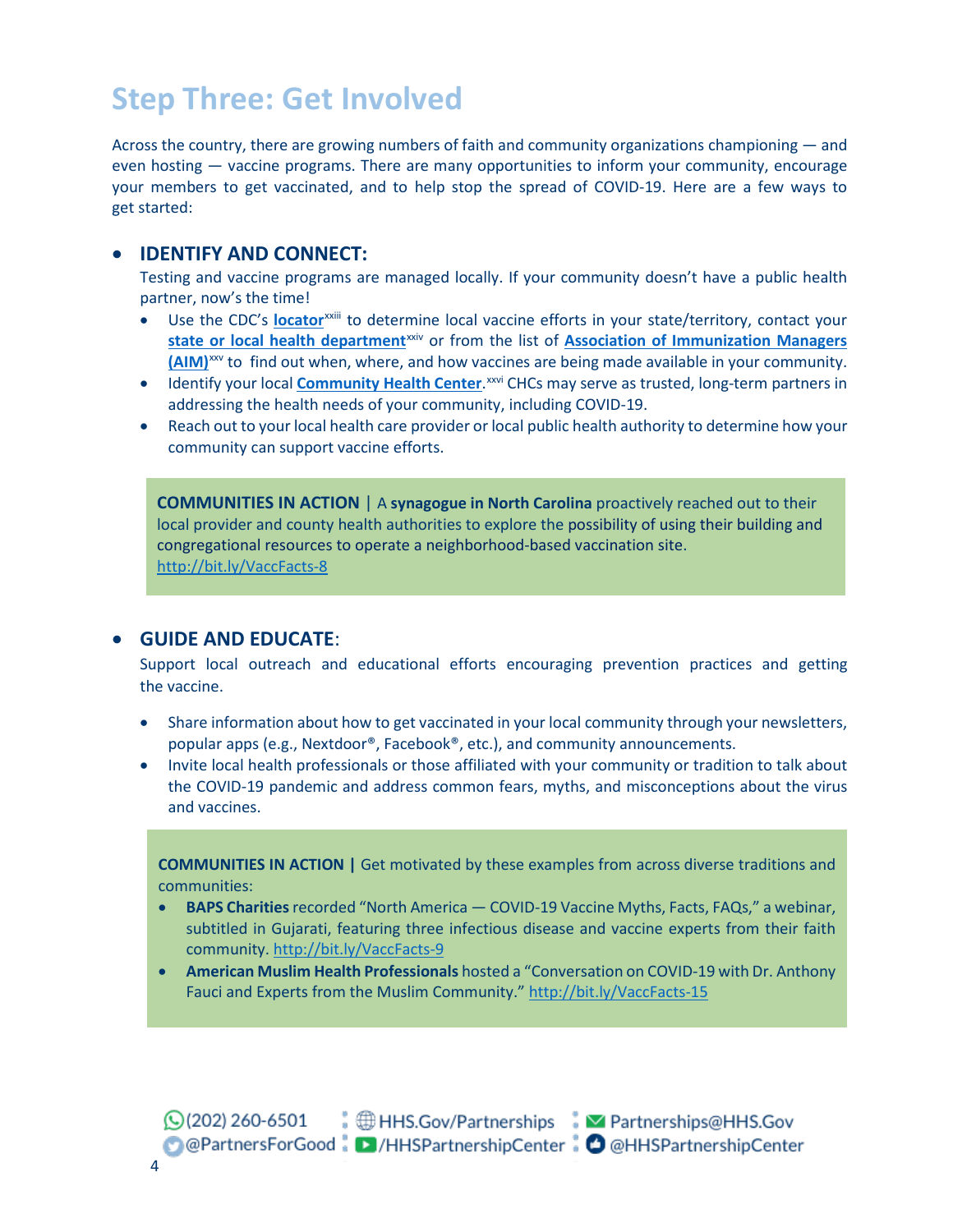# **Step Three: Get Involved**

Across the country, there are growing numbers of faith and community organizations championing ― and even hosting ― vaccine programs. There are many opportunities to inform your community, encourage your members to get vaccinated, and to help stop the spread of COVID-19. Here are a few ways to get started:

### • **IDENTIFY AND CONNECT:**

Testing and vaccine programs are managed locally. If your community doesn't have a public health partner, now's the time!

- Use the CDC's **[locator](https://www.cdc.gov/coronavirus/2019-ncov/vaccines/index.html)**xxii[i](#page-5-22) to determine local vaccine efforts in your state/territory, contact your state or local [health department](https://www.cdc.gov/publichealthgateway/healthdirectories/index.html)<sup>[xxiv](#page-5-23)</sup> or from the list of **Association of Immunization Managers [\(AIM\)](https://www.immunizationmanagers.org/page/MemPage)**[xxv](#page-5-24) to find out when, where, and how vaccines are being made available in your community.
- **•** Identify your local **[Community Health Center](https://findahealthcenter.hrsa.gov/)**.<sup>[xxvi](#page-5-25)</sup> CHCs may serve as trusted, long-term partners in addressing the health needs of your community, including COVID-19.
- Reach out to your local health care provider or local public health authority to determine how your community can support vaccine efforts.

**COMMUNITIES IN ACTION** | A **synagogue in North Carolina** proactively reached out to their local provider and county health authorities to explore the possibility of using their building and congregational resources to operate a neighborhood-based vaccination site. <http://bit.ly/VaccFacts-8>

### • **GUIDE AND EDUCATE**:

Support local outreach and educational efforts encouraging prevention practices and getting the vaccine.

- Share information about how to get vaccinated in your local community through your newsletters, popular apps (e.g., Nextdoor®, Facebook®, etc.), and community announcements.
- Invite local health professionals or those affiliated with your community or tradition to talk about the COVID-19 pandemic and address common fears, myths, and misconceptions about the virus and vaccines.

**COMMUNITIES IN ACTION |** Get motivated by these examples from across diverse traditions and communities:

- **BAPS Charities**recorded "North America ― COVID-19 Vaccine Myths, Facts, FAQs," a webinar, subtitled in Gujarati, featuring three infectious disease and vaccine experts from their faith community. http://bit.ly/VaccFacts-9
- **American Muslim Health Professionals** hosted a "Conversation on COVID-19 with Dr. Anthony Fauci and Experts from the Muslim Community."<http://bit.ly/VaccFacts-15>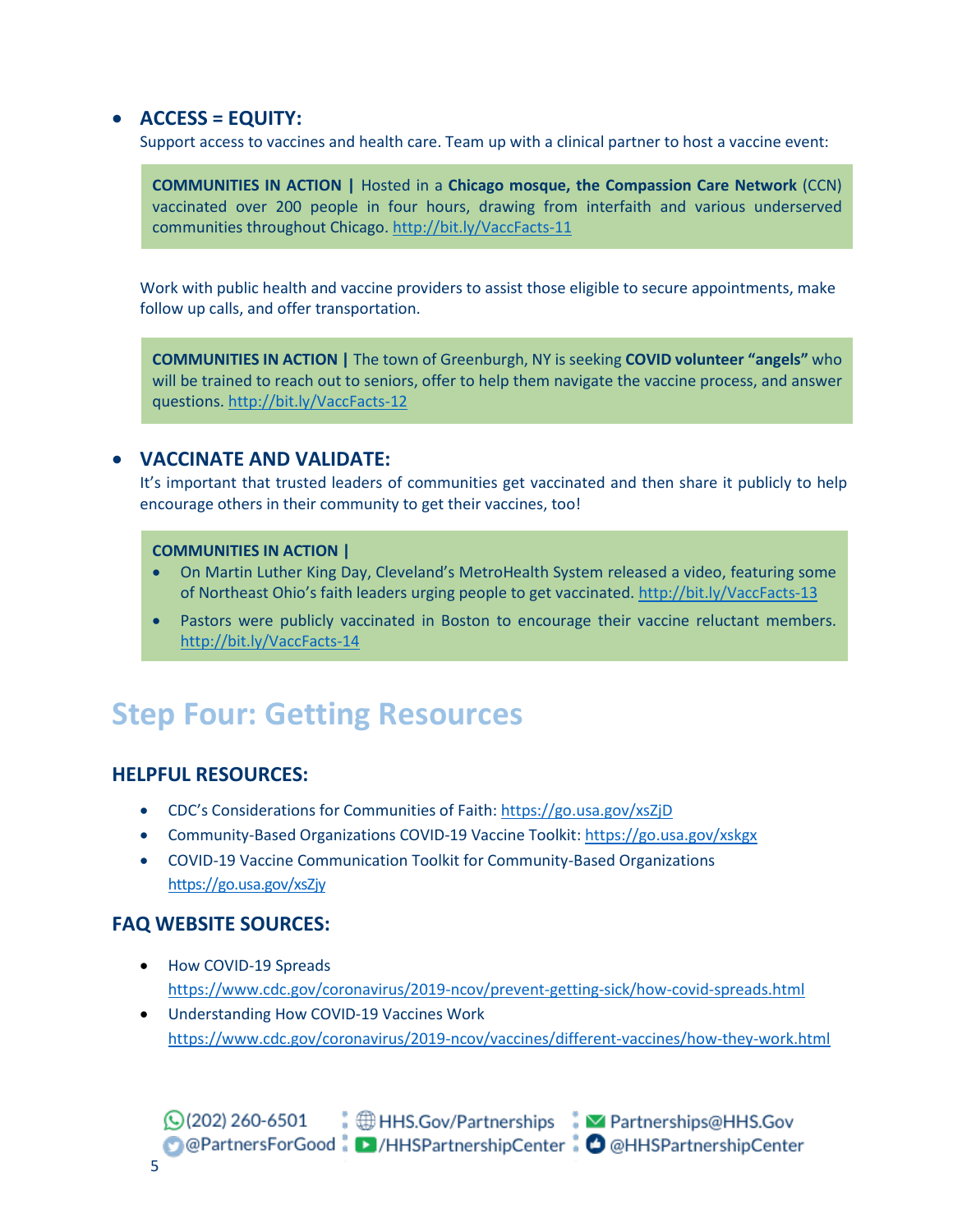### • **ACCESS = EQUITY:**

Support access to vaccines and health care. Team up with a clinical partner to host a vaccine event:

**COMMUNITIES IN ACTION |** Hosted in a **Chicago mosque, the Compassion Care Network** (CCN) vaccinated over 200 people in four hours, drawing from interfaith and various underserved communities throughout Chicago.<http://bit.ly/VaccFacts-11>

Work with public health and vaccine providers to assist those eligible to secure appointments, make follow up calls, and offer transportation.

**COMMUNITIES IN ACTION |** The town of Greenburgh, NY is seeking **COVID volunteer "angels"** who will be trained to reach out to seniors, offer to help them navigate the vaccine process, and answer questions[. http://bit.ly/VaccFacts-12](http://bit.ly/VaccFacts-12)

### • **VACCINATE AND VALIDATE:**

It's important that trusted leaders of communities get vaccinated and then share it publicly to help encourage others in their community to get their vaccines, too!

#### **COMMUNITIES IN ACTION |**

- On Martin Luther King Day, Cleveland's MetroHealth System released a video, featuring some of Northeast Ohio's faith leaders urging people to get vaccinated. <http://bit.ly/VaccFacts-13>
- Pastors were publicly vaccinated in Boston to encourage their vaccine reluctant members. <http://bit.ly/VaccFacts-14>

# **Step Four: Getting Resources**

### **HELPFUL RESOURCES:**

- CDC's Considerations for Communities of Faith: <https://go.usa.gov/xsZjD>
- Community-Based Organizations COVID-19 Vaccine Toolkit: <https://go.usa.gov/xskgx>
- COVID-19 Vaccine Communication Toolkit for Community-Based Organizations <https://go.usa.gov/xsZjy>

### **FAQ WEBSITE SOURCES:**

- How COVID-19 Spreads <https://www.cdc.gov/coronavirus/2019-ncov/prevent-getting-sick/how-covid-spreads.html>
- Understanding How COVID-19 Vaccines Work <https://www.cdc.gov/coronavirus/2019-ncov/vaccines/different-vaccines/how-they-work.html>